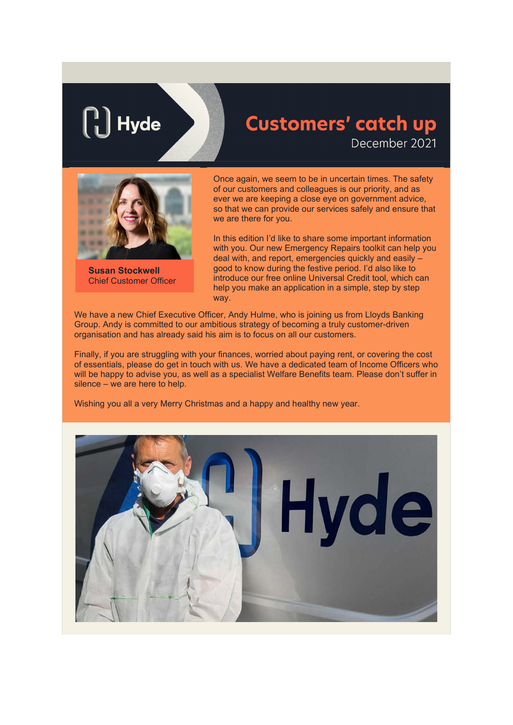# $\parallel$  Hyde

# **Customers' catch up** December 2021



**Susan Stockwell** Chief Customer Officer

Once again, we seem to be in uncertain times. The safety of our customers and colleagues is our priority, and as ever we are keeping a close eye on government advice, so that we can provide our services safely and ensure that we are there for you.

In this edition I'd like to share some important information with you. Our new Emergency Repairs toolkit can help you deal with, and report, emergencies quickly and easily – good to know during the festive period. I'd also like to introduce our free online Universal Credit tool, which can help you make an application in a simple, step by step way.

We have a new Chief Executive Officer, Andy Hulme, who is joining us from Lloyds Banking Group. Andy is committed to our ambitious strategy of becoming a truly customer-driven organisation and has already said his aim is to focus on all our customers.

Finally, if you are struggling with your finances, worried about paying rent, or covering the cost of essentials, please do get in touch with us. We have a dedicated team of Income Officers who will be happy to advise you, as well as a specialist Welfare Benefits team. Please don't suffer in silence – we are here to help.

Wishing you all a very Merry Christmas and a happy and healthy new year.

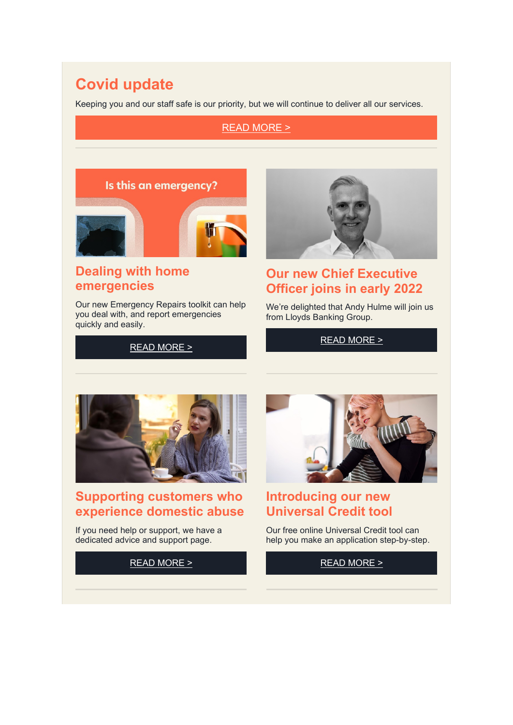# **Covid update**

Keeping you and our staff safe is our priority, but we will continue to deliver all our services.

#### READ [MORE](https://eur03.safelinks.protection.outlook.com/?url=https%3A%2F%2Fwww.hyde-housing.co.uk%2Fnews%2Fmanaging-homes%2Fcoronavirus-we-re-working-hard-to-deliver-our-services-safely%2F%3Futm_campaign%3D%257B%7EmessageName%7E%257D%26utm_source%3DemailCampaign%26utm_content%3D%257B%7EmailVariationId%7E%257D%26utm_medium%3Demail&data=04%7C01%7Cjane.warren%40hyde-housing.co.uk%7Cd47c741c23224235337508d9c491e567%7C86819931fb92466f8ad749b48fb5a50d%7C0%7C0%7C637756953159422802%7CUnknown%7CTWFpbGZsb3d8eyJWIjoiMC4wLjAwMDAiLCJQIjoiV2luMzIiLCJBTiI6Ik1haWwiLCJXVCI6Mn0%3D%7C3000&sdata=HGNoCIB5FvN9bRv%2BYzG8AH2xS1IZ8tk9rXSv3ZCexkw%3D&reserved=0) >

#### Is this an emergency?



### **Dealing with home emergencies**

Our new Emergency Repairs toolkit can help you deal with, and report emergencies quickly and easily.

READ [MORE](https://eur03.safelinks.protection.outlook.com/?url=https%3A%2F%2Fwww.hyde-housing.co.uk%2Fnews%2Fmanaging-homes%2Fdealing-with-home-emergencies%2F%3Futm_campaign%3D%257B%7EmessageName%7E%257D%26utm_source%3DemailCampaign%26utm_content%3D%257B%7EmailVariationId%7E%257D%26utm_medium%3Demail&data=04%7C01%7Cjane.warren%40hyde-housing.co.uk%7Cd47c741c23224235337508d9c491e567%7C86819931fb92466f8ad749b48fb5a50d%7C0%7C0%7C637756953159422802%7CUnknown%7CTWFpbGZsb3d8eyJWIjoiMC4wLjAwMDAiLCJQIjoiV2luMzIiLCJBTiI6Ik1haWwiLCJXVCI6Mn0%3D%7C3000&sdata=Qxy3Vsc7wEMBKL2BXay0%2FpeWR9oyER%2BKbyRQdPhX1Ag%3D&reserved=0) >



#### **Our new Chief Executive Officer joins in early 2022**

We're delighted that Andy Hulme will join us from Lloyds Banking Group.

READ [MORE](https://eur03.safelinks.protection.outlook.com/?url=https%3A%2F%2Fwww.hyde-housing.co.uk%2Fnews%2Fcorporate-and-financial%2Fannouncing-hydes-new-chief-executive-officer%2F%3Futm_campaign%3D%257B%7EmessageName%7E%257D%26utm_source%3DemailCampaign%26utm_content%3D%257B%7EmailVariationId%7E%257D%26utm_medium%3Demail&data=04%7C01%7Cjane.warren%40hyde-housing.co.uk%7Cd47c741c23224235337508d9c491e567%7C86819931fb92466f8ad749b48fb5a50d%7C0%7C0%7C637756953159422802%7CUnknown%7CTWFpbGZsb3d8eyJWIjoiMC4wLjAwMDAiLCJQIjoiV2luMzIiLCJBTiI6Ik1haWwiLCJXVCI6Mn0%3D%7C3000&sdata=fXEC3DE9CICWFON2He8WVHecJfJbgWViLamFjt8uEpo%3D&reserved=0) >



#### **Supporting customers who experience domestic abuse**

If you need help or support, we have a dedicated advice and support page.

READ [MORE](https://eur03.safelinks.protection.outlook.com/?url=https%3A%2F%2Fwww.hyde-housing.co.uk%2Fnews%2Fhyde-in-the-community%2F16-days-of-action-how-we-support-customers-experiencing-domestic-abuse%2F%3Futm_campaign%3D%257B%7EmessageName%7E%257D%26utm_source%3DemailCampaign%26utm_content%3D%257B%7EmailVariationId%7E%257D%26utm_medium%3Demail&data=04%7C01%7Cjane.warren%40hyde-housing.co.uk%7Cd47c741c23224235337508d9c491e567%7C86819931fb92466f8ad749b48fb5a50d%7C0%7C0%7C637756953159579038%7CUnknown%7CTWFpbGZsb3d8eyJWIjoiMC4wLjAwMDAiLCJQIjoiV2luMzIiLCJBTiI6Ik1haWwiLCJXVCI6Mn0%3D%7C3000&sdata=9vINdZr9BQ6PFVsy7pxPtqPdKqZoFHoWrBbWYutCJtk%3D&reserved=0) >



#### **Introducing our new Universal Credit tool**

Our free online Universal Credit tool can help you make an application step-by-step.

#### READ [MORE](https://eur03.safelinks.protection.outlook.com/?url=https%3A%2F%2Fwww.hyde-housing.co.uk%2Fnews%2Fwork-money-and-benefits%2Fwith-you-every-step-of-the-way%2F%3Futm_campaign%3D%257B%7EmessageName%7E%257D%26utm_source%3DemailCampaign%26utm_content%3D%257B%7EmailVariationId%7E%257D%26utm_medium%3Demail&data=04%7C01%7Cjane.warren%40hyde-housing.co.uk%7Cd47c741c23224235337508d9c491e567%7C86819931fb92466f8ad749b48fb5a50d%7C0%7C0%7C637756953159579038%7CUnknown%7CTWFpbGZsb3d8eyJWIjoiMC4wLjAwMDAiLCJQIjoiV2luMzIiLCJBTiI6Ik1haWwiLCJXVCI6Mn0%3D%7C3000&sdata=8E4I0CRDcheNjB6uQKcthDn%2BJdrLdFCvDJArk9he8wc%3D&reserved=0) >